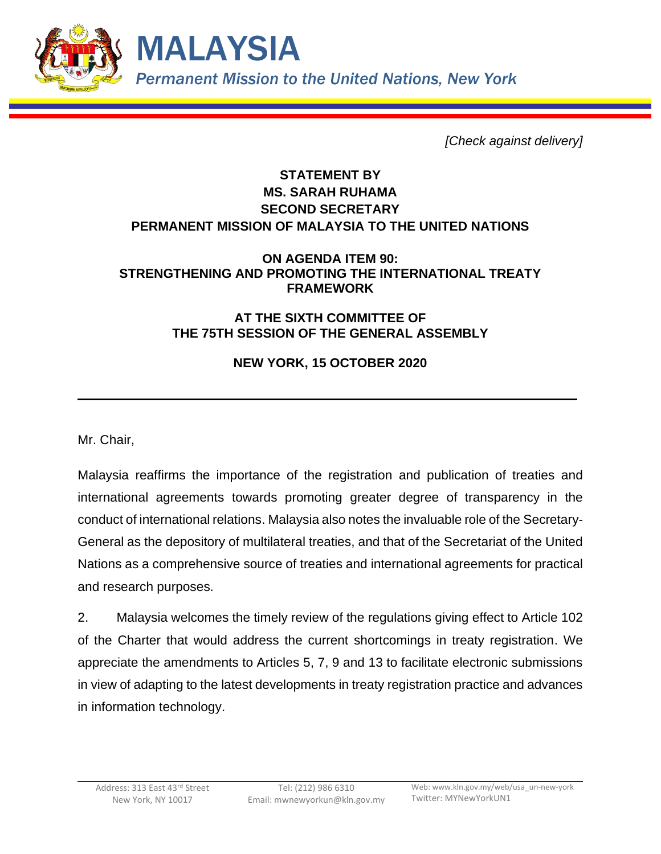

*[Check against delivery]*

## **STATEMENT BY MS. SARAH RUHAMA SECOND SECRETARY PERMANENT MISSION OF MALAYSIA TO THE UNITED NATIONS**

## **ON AGENDA ITEM 90: STRENGTHENING AND PROMOTING THE INTERNATIONAL TREATY FRAMEWORK**

## **AT THE SIXTH COMMITTEE OF THE 75TH SESSION OF THE GENERAL ASSEMBLY**

## **NEW YORK, 15 OCTOBER 2020**

Mr. Chair,

Malaysia reaffirms the importance of the registration and publication of treaties and international agreements towards promoting greater degree of transparency in the conduct of international relations. Malaysia also notes the invaluable role of the Secretary-General as the depository of multilateral treaties, and that of the Secretariat of the United Nations as a comprehensive source of treaties and international agreements for practical and research purposes.

2. Malaysia welcomes the timely review of the regulations giving effect to Article 102 of the Charter that would address the current shortcomings in treaty registration. We appreciate the amendments to Articles 5, 7, 9 and 13 to facilitate electronic submissions in view of adapting to the latest developments in treaty registration practice and advances in information technology.